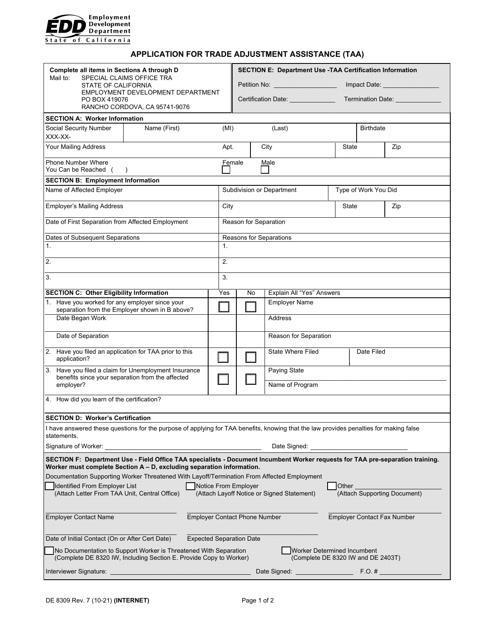

## **APPLICATION FOR TRADE ADJUSTMENT ASSISTANCE (TAA)**

| Complete all items in Sections A through D<br>SPECIAL CLAIMS OFFICE TRA<br>Mail to:<br>STATE OF CALIFORNIA<br>EMPLOYMENT DEVELOPMENT DEPARTMENT<br>PO BOX 419076<br>RANCHO CORDOVA, CA 95741-9076                  |              |                                 | Petition No: ____________________<br>Certification Date: <u>Certification</u> |                                      |  | <b>SECTION E: Department Use -TAA Certification Information</b><br><b>Termination Date:</b> |                                    |     |  |  |
|--------------------------------------------------------------------------------------------------------------------------------------------------------------------------------------------------------------------|--------------|---------------------------------|-------------------------------------------------------------------------------|--------------------------------------|--|---------------------------------------------------------------------------------------------|------------------------------------|-----|--|--|
| <b>SECTION A: Worker Information</b>                                                                                                                                                                               |              |                                 |                                                                               |                                      |  |                                                                                             |                                    |     |  |  |
| Social Security Number<br>XXX-XX-                                                                                                                                                                                  | Name (First) | (MI)                            | (Last)                                                                        |                                      |  | <b>Birthdate</b>                                                                            |                                    |     |  |  |
| Your Mailing Address                                                                                                                                                                                               |              |                                 | Apt.<br>City                                                                  |                                      |  | State                                                                                       |                                    | Zip |  |  |
| <b>Phone Number Where</b><br>You Can be Reached (<br>$\rightarrow$                                                                                                                                                 |              |                                 | Female<br>Male                                                                |                                      |  |                                                                                             |                                    |     |  |  |
| <b>SECTION B: Employment Information</b>                                                                                                                                                                           |              |                                 |                                                                               |                                      |  |                                                                                             |                                    |     |  |  |
| Name of Affected Employer                                                                                                                                                                                          |              |                                 |                                                                               | Subdivision or Department            |  | Type of Work You Did                                                                        |                                    |     |  |  |
| <b>Employer's Mailing Address</b>                                                                                                                                                                                  |              |                                 | City                                                                          |                                      |  | State                                                                                       |                                    | Zip |  |  |
| Date of First Separation from Affected Employment                                                                                                                                                                  |              |                                 | Reason for Separation                                                         |                                      |  |                                                                                             |                                    |     |  |  |
| Dates of Subsequent Separations                                                                                                                                                                                    |              |                                 | Reasons for Separations                                                       |                                      |  |                                                                                             |                                    |     |  |  |
| 1.                                                                                                                                                                                                                 |              |                                 | 1.                                                                            |                                      |  |                                                                                             |                                    |     |  |  |
| $\overline{2}$                                                                                                                                                                                                     |              |                                 | 2.                                                                            |                                      |  |                                                                                             |                                    |     |  |  |
| 3.                                                                                                                                                                                                                 |              |                                 |                                                                               |                                      |  |                                                                                             |                                    |     |  |  |
| <b>SECTION C: Other Eligibility Information</b>                                                                                                                                                                    |              | Yes                             | Explain All "Yes" Answers<br>No                                               |                                      |  |                                                                                             |                                    |     |  |  |
| 1. Have you worked for any employer since your<br>separation from the Employer shown in B above?                                                                                                                   |              |                                 | <b>Employer Name</b>                                                          |                                      |  |                                                                                             |                                    |     |  |  |
| Date Began Work                                                                                                                                                                                                    |              |                                 |                                                                               | Address                              |  |                                                                                             |                                    |     |  |  |
| Date of Separation                                                                                                                                                                                                 |              |                                 | Reason for Separation                                                         |                                      |  |                                                                                             |                                    |     |  |  |
| 2. Have you filed an application for TAA prior to this<br>application?                                                                                                                                             |              |                                 | <b>State Where Filed</b>                                                      |                                      |  | Date Filed                                                                                  |                                    |     |  |  |
| 3. Have you filed a claim for Unemployment Insurance<br>benefits since your separation from the affected<br>employer?                                                                                              |              |                                 | Paying State<br>Name of Program                                               |                                      |  |                                                                                             |                                    |     |  |  |
| 4. How did you learn of the certification?                                                                                                                                                                         |              |                                 |                                                                               |                                      |  |                                                                                             |                                    |     |  |  |
| <b>SECTION D: Worker's Certification</b>                                                                                                                                                                           |              |                                 |                                                                               |                                      |  |                                                                                             |                                    |     |  |  |
| I have answered these questions for the purpose of applying for TAA benefits, knowing that the law provides penalties for making false<br>statements.                                                              |              |                                 |                                                                               |                                      |  |                                                                                             |                                    |     |  |  |
| Signature of Worker:<br>Date Signed: __                                                                                                                                                                            |              |                                 |                                                                               |                                      |  |                                                                                             |                                    |     |  |  |
| SECTION F: Department Use - Field Office TAA specialists - Document Incumbent Worker requests for TAA pre-separation training.                                                                                     |              |                                 |                                                                               |                                      |  |                                                                                             |                                    |     |  |  |
| Worker must complete Section A - D, excluding separation information.<br>Documentation Supporting Worker Threatened With Layoff/Termination From Affected Employment                                               |              |                                 |                                                                               |                                      |  |                                                                                             |                                    |     |  |  |
| Other<br>Identified From Employer List<br><b>Notice From Employer</b>                                                                                                                                              |              |                                 |                                                                               |                                      |  |                                                                                             |                                    |     |  |  |
| (Attach Letter From TAA Unit, Central Office)<br>(Attach Layoff Notice or Signed Statement)<br>(Attach Supporting Document)                                                                                        |              |                                 |                                                                               |                                      |  |                                                                                             |                                    |     |  |  |
| <b>Employer Contact Name</b>                                                                                                                                                                                       |              |                                 |                                                                               | <b>Employer Contact Phone Number</b> |  |                                                                                             | <b>Employer Contact Fax Number</b> |     |  |  |
| Date of Initial Contact (On or After Cert Date)                                                                                                                                                                    |              | <b>Expected Separation Date</b> |                                                                               |                                      |  |                                                                                             |                                    |     |  |  |
| <b>Worker Determined Incumbent</b><br>No Documentation to Support Worker is Threatened With Separation<br>(Complete DE 8320 IW, Including Section E. Provide Copy to Worker)<br>(Complete DE 8320 IW and DE 2403T) |              |                                 |                                                                               |                                      |  |                                                                                             |                                    |     |  |  |
| Interviewer Signature:                                                                                                                                                                                             |              |                                 |                                                                               |                                      |  | $F.O.$ #                                                                                    |                                    |     |  |  |
|                                                                                                                                                                                                                    |              |                                 |                                                                               |                                      |  |                                                                                             |                                    |     |  |  |